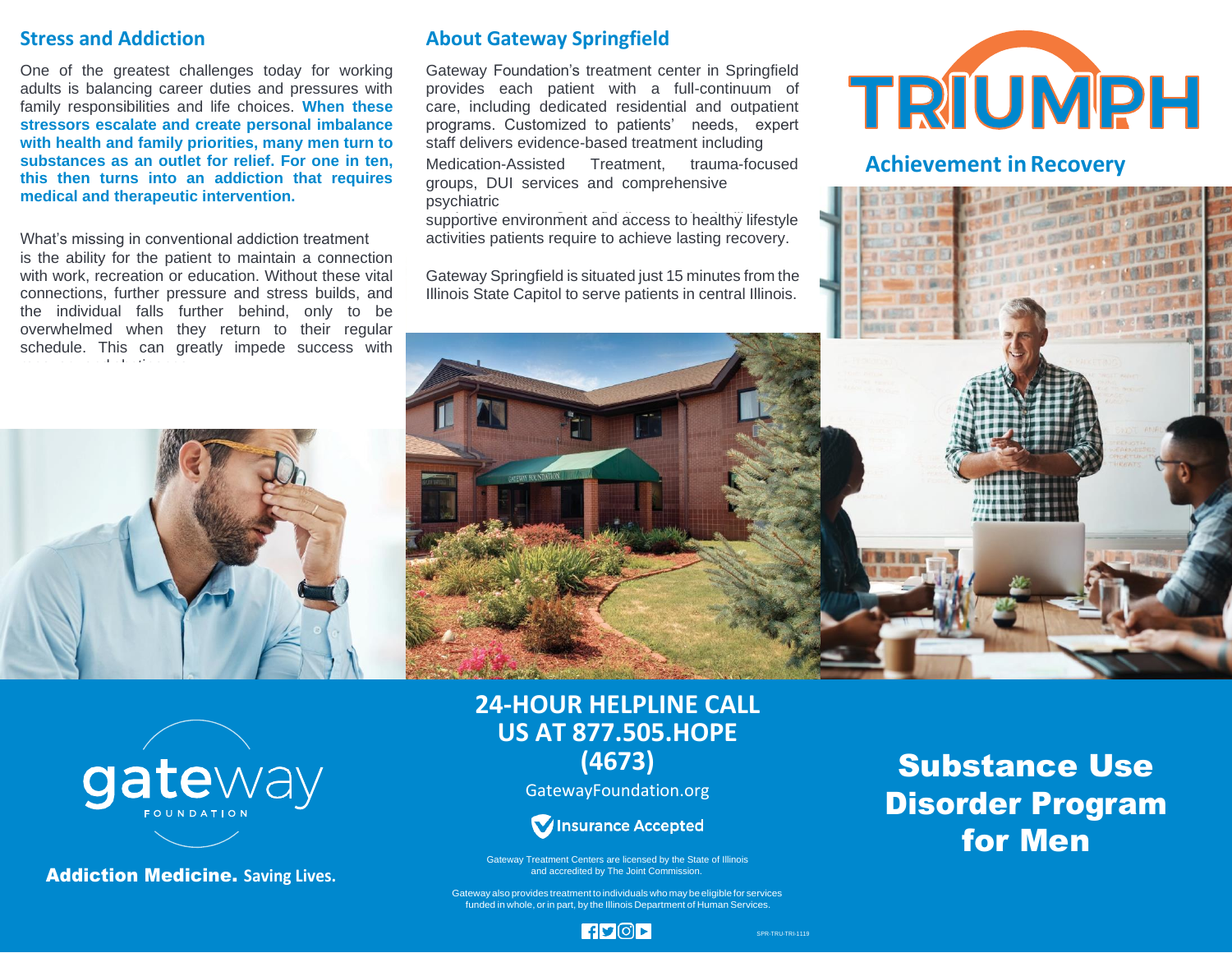# **Stress and Addiction**

One of the greatest challenges today for working adults is balancing career duties and pressures with family responsibilities and life choices. **When these stressors escalate and create personal imbalance with health and family priorities, many men turn to substances as an outlet for relief. For one in ten, this then turns into an addiction that requires medical and therapeutic intervention.**

What's missing in conventional addiction treatment activities patients require to achieve lasting recovery. is the ability for the patient to maintain a connection with work, recreation or education. Without these vital connections, further pressure and stress builds, and the individual falls further behind, only to be overwhelmed when they return to their regular schedule. This can greatly impede success with recovery and abstinence.

gateway

**Addiction Medicine. Saving Lives.** 

# **About Gateway Springfield**

Gateway Foundation's treatment center in Springfield provides each patient with a full-continuum of care, including dedicated residential and outpatient programs. Customized to patients' needs, expert staff delivers evidence-based treatment including

Medication-Assisted Treatment, trauma-focused **Achievement inRecovery** groups, DUI services and comprehensive psychiatric

supportive environment and access to healthy lifestyle

Gateway Springfield is situated just 15 minutes from the Illinois State Capitol to serve patients in central Illinois.





# **24-HOUR HELPLINE CALL US AT 877.505.HOPE (4673)**

GatewayFoundation.org



Gateway Treatment Centers are licensed by the State of Illinois<br>and accredited by The Joint Commission.

### Gateway also provides treatment to individuals who may be eligible for services funded in whole, or in part, by the Illinois Department of Human Services.

# Substance Use Disorder Program for Men

 $|f|$ y $|Q|$ r $|$ 

SPR-TRU-TRI-1119